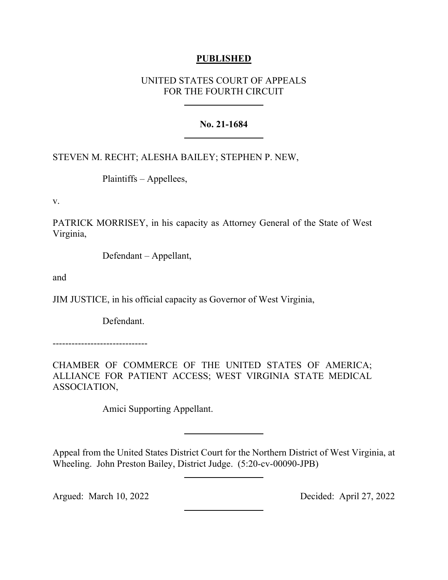# **PUBLISHED**

# UNITED STATES COURT OF APPEALS FOR THE FOURTH CIRCUIT

# **No. 21-1684**

# STEVEN M. RECHT; ALESHA BAILEY; STEPHEN P. NEW,

Plaintiffs – Appellees,

v.

PATRICK MORRISEY, in his capacity as Attorney General of the State of West Virginia,

Defendant – Appellant,

and

JIM JUSTICE, in his official capacity as Governor of West Virginia,

Defendant.

------------------------------

CHAMBER OF COMMERCE OF THE UNITED STATES OF AMERICA; ALLIANCE FOR PATIENT ACCESS; WEST VIRGINIA STATE MEDICAL ASSOCIATION,

Amici Supporting Appellant.

Appeal from the United States District Court for the Northern District of West Virginia, at Wheeling. John Preston Bailey, District Judge. (5:20-cv-00090-JPB)

Argued: March 10, 2022 Decided: April 27, 2022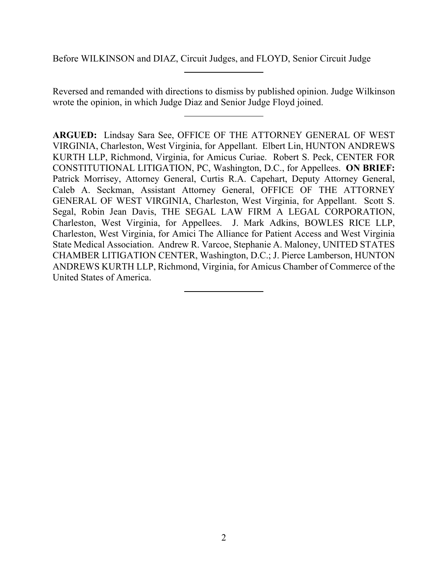Before WILKINSON and DIAZ, Circuit Judges, and FLOYD, Senior Circuit Judge

Reversed and remanded with directions to dismiss by published opinion. Judge Wilkinson wrote the opinion, in which Judge Diaz and Senior Judge Floyd joined.

**ARGUED:** Lindsay Sara See, OFFICE OF THE ATTORNEY GENERAL OF WEST VIRGINIA, Charleston, West Virginia, for Appellant. Elbert Lin, HUNTON ANDREWS KURTH LLP, Richmond, Virginia, for Amicus Curiae. Robert S. Peck, CENTER FOR CONSTITUTIONAL LITIGATION, PC, Washington, D.C., for Appellees. **ON BRIEF:**  Patrick Morrisey, Attorney General, Curtis R.A. Capehart, Deputy Attorney General, Caleb A. Seckman, Assistant Attorney General, OFFICE OF THE ATTORNEY GENERAL OF WEST VIRGINIA, Charleston, West Virginia, for Appellant. Scott S. Segal, Robin Jean Davis, THE SEGAL LAW FIRM A LEGAL CORPORATION, Charleston, West Virginia, for Appellees. J. Mark Adkins, BOWLES RICE LLP, Charleston, West Virginia, for Amici The Alliance for Patient Access and West Virginia State Medical Association. Andrew R. Varcoe, Stephanie A. Maloney, UNITED STATES CHAMBER LITIGATION CENTER, Washington, D.C.; J. Pierce Lamberson, HUNTON ANDREWS KURTH LLP, Richmond, Virginia, for Amicus Chamber of Commerce of the United States of America.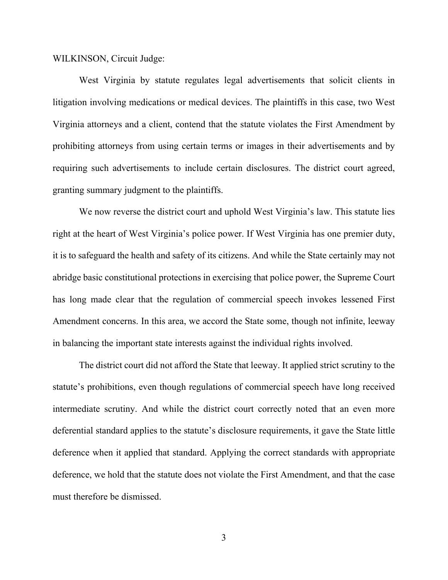WILKINSON, Circuit Judge:

West Virginia by statute regulates legal advertisements that solicit clients in litigation involving medications or medical devices. The plaintiffs in this case, two West Virginia attorneys and a client, contend that the statute violates the First Amendment by prohibiting attorneys from using certain terms or images in their advertisements and by requiring such advertisements to include certain disclosures. The district court agreed, granting summary judgment to the plaintiffs.

We now reverse the district court and uphold West Virginia's law. This statute lies right at the heart of West Virginia's police power. If West Virginia has one premier duty, it is to safeguard the health and safety of its citizens. And while the State certainly may not abridge basic constitutional protections in exercising that police power, the Supreme Court has long made clear that the regulation of commercial speech invokes lessened First Amendment concerns. In this area, we accord the State some, though not infinite, leeway in balancing the important state interests against the individual rights involved.

The district court did not afford the State that leeway. It applied strict scrutiny to the statute's prohibitions, even though regulations of commercial speech have long received intermediate scrutiny. And while the district court correctly noted that an even more deferential standard applies to the statute's disclosure requirements, it gave the State little deference when it applied that standard. Applying the correct standards with appropriate deference, we hold that the statute does not violate the First Amendment, and that the case must therefore be dismissed.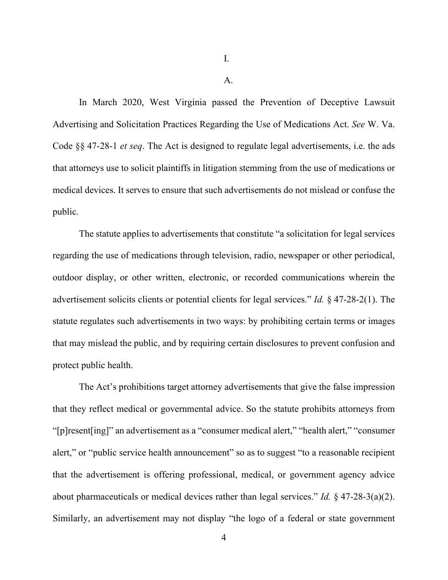A.

In March 2020, West Virginia passed the Prevention of Deceptive Lawsuit Advertising and Solicitation Practices Regarding the Use of Medications Act. *See* W. Va. Code §§ 47-28-1 *et seq*. The Act is designed to regulate legal advertisements, i.e. the ads that attorneys use to solicit plaintiffs in litigation stemming from the use of medications or medical devices. It serves to ensure that such advertisements do not mislead or confuse the public.

The statute applies to advertisements that constitute "a solicitation for legal services regarding the use of medications through television, radio, newspaper or other periodical, outdoor display, or other written, electronic, or recorded communications wherein the advertisement solicits clients or potential clients for legal services." *Id.* § 47-28-2(1). The statute regulates such advertisements in two ways: by prohibiting certain terms or images that may mislead the public, and by requiring certain disclosures to prevent confusion and protect public health.

The Act's prohibitions target attorney advertisements that give the false impression that they reflect medical or governmental advice. So the statute prohibits attorneys from "[p]resent[ing]" an advertisement as a "consumer medical alert," "health alert," "consumer alert," or "public service health announcement" so as to suggest "to a reasonable recipient that the advertisement is offering professional, medical, or government agency advice about pharmaceuticals or medical devices rather than legal services." *Id.* § 47-28-3(a)(2). Similarly, an advertisement may not display "the logo of a federal or state government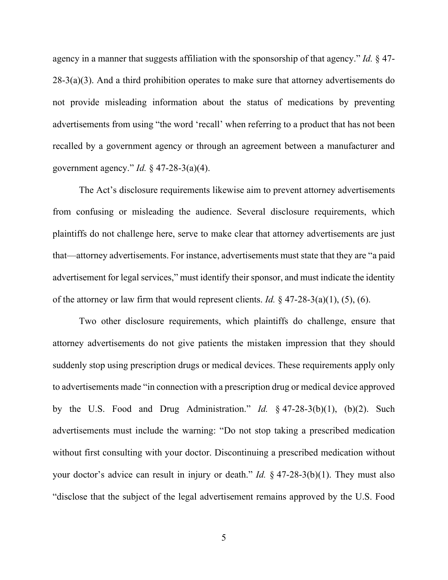agency in a manner that suggests affiliation with the sponsorship of that agency." *Id.* § 47-  $28-3(a)(3)$ . And a third prohibition operates to make sure that attorney advertisements do not provide misleading information about the status of medications by preventing advertisements from using "the word 'recall' when referring to a product that has not been recalled by a government agency or through an agreement between a manufacturer and government agency." *Id.* § 47-28-3(a)(4).

The Act's disclosure requirements likewise aim to prevent attorney advertisements from confusing or misleading the audience. Several disclosure requirements, which plaintiffs do not challenge here, serve to make clear that attorney advertisements are just that—attorney advertisements. For instance, advertisements must state that they are "a paid advertisement for legal services," must identify their sponsor, and must indicate the identity of the attorney or law firm that would represent clients. *Id.* § 47-28-3(a)(1), (5), (6).

Two other disclosure requirements, which plaintiffs do challenge, ensure that attorney advertisements do not give patients the mistaken impression that they should suddenly stop using prescription drugs or medical devices. These requirements apply only to advertisements made "in connection with a prescription drug or medical device approved by the U.S. Food and Drug Administration." *Id.* § 47-28-3(b)(1), (b)(2). Such advertisements must include the warning: "Do not stop taking a prescribed medication without first consulting with your doctor. Discontinuing a prescribed medication without your doctor's advice can result in injury or death." *Id.* § 47-28-3(b)(1). They must also "disclose that the subject of the legal advertisement remains approved by the U.S. Food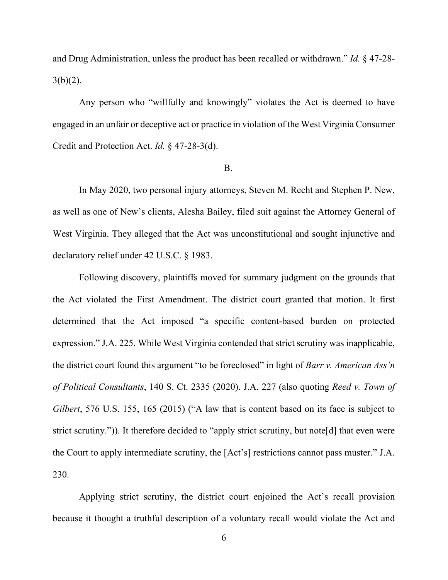and Drug Administration, unless the product has been recalled or withdrawn." *Id.* § 47-28-  $3(b)(2)$ .

Any person who "willfully and knowingly" violates the Act is deemed to have engaged in an unfair or deceptive act or practice in violation of the West Virginia Consumer Credit and Protection Act. *Id.* § 47-28-3(d).

### B.

In May 2020, two personal injury attorneys, Steven M. Recht and Stephen P. New, as well as one of New's clients, Alesha Bailey, filed suit against the Attorney General of West Virginia. They alleged that the Act was unconstitutional and sought injunctive and declaratory relief under 42 U.S.C. § 1983.

Following discovery, plaintiffs moved for summary judgment on the grounds that the Act violated the First Amendment. The district court granted that motion. It first determined that the Act imposed "a specific content-based burden on protected expression." J.A. 225. While West Virginia contended that strict scrutiny was inapplicable, the district court found this argument "to be foreclosed" in light of *Barr v. American Ass'n of Political Consultants*, 140 S. Ct. 2335 (2020). J.A. 227 (also quoting *Reed v. Town of Gilbert*, 576 U.S. 155, 165 (2015) ("A law that is content based on its face is subject to strict scrutiny.")). It therefore decided to "apply strict scrutiny, but note[d] that even were the Court to apply intermediate scrutiny, the [Act's] restrictions cannot pass muster." J.A. 230.

Applying strict scrutiny, the district court enjoined the Act's recall provision because it thought a truthful description of a voluntary recall would violate the Act and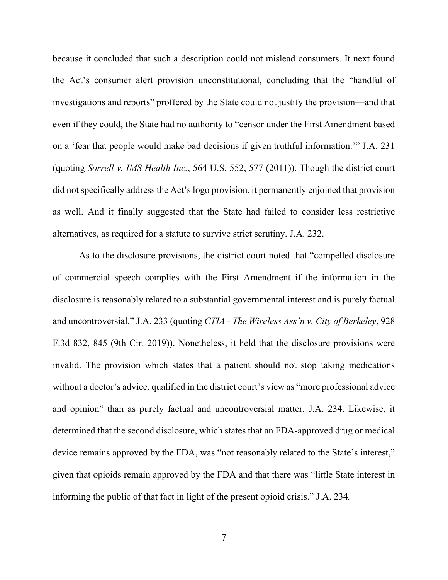because it concluded that such a description could not mislead consumers. It next found the Act's consumer alert provision unconstitutional, concluding that the "handful of investigations and reports" proffered by the State could not justify the provision—and that even if they could, the State had no authority to "censor under the First Amendment based on a 'fear that people would make bad decisions if given truthful information.'" J.A. 231 (quoting *Sorrell v. IMS Health Inc.*, 564 U.S. 552, 577 (2011)). Though the district court did not specifically address the Act's logo provision, it permanently enjoined that provision as well. And it finally suggested that the State had failed to consider less restrictive alternatives, as required for a statute to survive strict scrutiny. J.A. 232.

As to the disclosure provisions, the district court noted that "compelled disclosure of commercial speech complies with the First Amendment if the information in the disclosure is reasonably related to a substantial governmental interest and is purely factual and uncontroversial." J.A. 233 (quoting *CTIA - The Wireless Ass'n v. City of Berkeley*, 928 F.3d 832, 845 (9th Cir. 2019)). Nonetheless, it held that the disclosure provisions were invalid. The provision which states that a patient should not stop taking medications without a doctor's advice, qualified in the district court's view as "more professional advice and opinion" than as purely factual and uncontroversial matter. J.A. 234. Likewise, it determined that the second disclosure, which states that an FDA-approved drug or medical device remains approved by the FDA, was "not reasonably related to the State's interest," given that opioids remain approved by the FDA and that there was "little State interest in informing the public of that fact in light of the present opioid crisis." J.A. 234*.*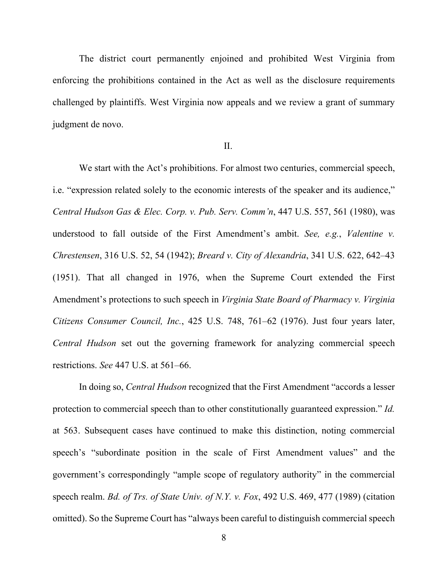The district court permanently enjoined and prohibited West Virginia from enforcing the prohibitions contained in the Act as well as the disclosure requirements challenged by plaintiffs. West Virginia now appeals and we review a grant of summary judgment de novo.

### II.

We start with the Act's prohibitions. For almost two centuries, commercial speech, i.e. "expression related solely to the economic interests of the speaker and its audience," *Central Hudson Gas & Elec. Corp. v. Pub. Serv. Comm'n*, 447 U.S. 557, 561 (1980), was understood to fall outside of the First Amendment's ambit. *See, e.g.*, *Valentine v. Chrestensen*, 316 U.S. 52, 54 (1942); *Breard v. City of Alexandria*, 341 U.S. 622, 642–43 (1951). That all changed in 1976, when the Supreme Court extended the First Amendment's protections to such speech in *Virginia State Board of Pharmacy v. Virginia Citizens Consumer Council, Inc.*, 425 U.S. 748, 761–62 (1976). Just four years later, *Central Hudson* set out the governing framework for analyzing commercial speech restrictions. *See* 447 U.S. at 561–66.

In doing so, *Central Hudson* recognized that the First Amendment "accords a lesser protection to commercial speech than to other constitutionally guaranteed expression." *Id.* at 563. Subsequent cases have continued to make this distinction, noting commercial speech's "subordinate position in the scale of First Amendment values" and the government's correspondingly "ample scope of regulatory authority" in the commercial speech realm. *Bd. of Trs. of State Univ. of N.Y. v. Fox*, 492 U.S. 469, 477 (1989) (citation omitted). So the Supreme Court has "always been careful to distinguish commercial speech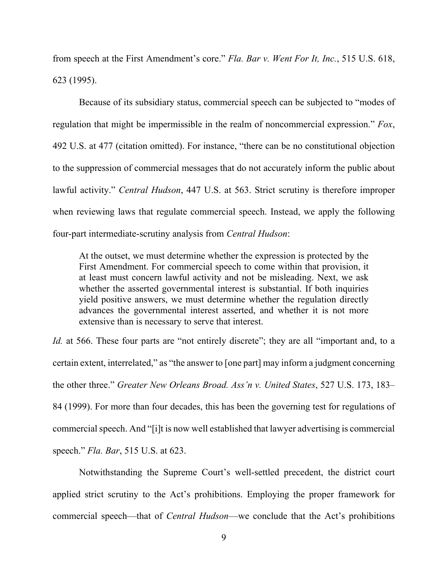from speech at the First Amendment's core." *Fla. Bar v. Went For It, Inc.*, 515 U.S. 618, 623 (1995).

Because of its subsidiary status, commercial speech can be subjected to "modes of regulation that might be impermissible in the realm of noncommercial expression." *Fox*, 492 U.S. at 477 (citation omitted). For instance, "there can be no constitutional objection to the suppression of commercial messages that do not accurately inform the public about lawful activity." *Central Hudson*, 447 U.S. at 563. Strict scrutiny is therefore improper when reviewing laws that regulate commercial speech. Instead, we apply the following four-part intermediate-scrutiny analysis from *Central Hudson*:

At the outset, we must determine whether the expression is protected by the First Amendment. For commercial speech to come within that provision, it at least must concern lawful activity and not be misleading. Next, we ask whether the asserted governmental interest is substantial. If both inquiries yield positive answers, we must determine whether the regulation directly advances the governmental interest asserted, and whether it is not more extensive than is necessary to serve that interest.

*Id.* at 566. These four parts are "not entirely discrete"; they are all "important and, to a certain extent, interrelated," as "the answer to [one part] may inform a judgment concerning the other three." *Greater New Orleans Broad. Ass'n v. United States*, 527 U.S. 173, 183– 84 (1999). For more than four decades, this has been the governing test for regulations of commercial speech. And "[i]t is now well established that lawyer advertising is commercial speech." *Fla. Bar*, 515 U.S. at 623.

Notwithstanding the Supreme Court's well-settled precedent, the district court applied strict scrutiny to the Act's prohibitions. Employing the proper framework for commercial speech—that of *Central Hudson*—we conclude that the Act's prohibitions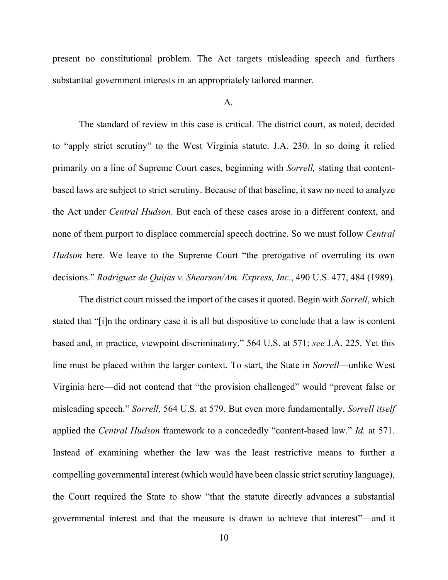present no constitutional problem. The Act targets misleading speech and furthers substantial government interests in an appropriately tailored manner.

### A.

The standard of review in this case is critical. The district court, as noted, decided to "apply strict scrutiny" to the West Virginia statute. J.A. 230. In so doing it relied primarily on a line of Supreme Court cases, beginning with *Sorrell,* stating that contentbased laws are subject to strict scrutiny. Because of that baseline, it saw no need to analyze the Act under *Central Hudson*. But each of these cases arose in a different context, and none of them purport to displace commercial speech doctrine. So we must follow *Central Hudson* here. We leave to the Supreme Court "the prerogative of overruling its own decisions." *Rodriguez de Quijas v. Shearson/Am. Express, Inc.*, 490 U.S. 477, 484 (1989).

The district court missed the import of the cases it quoted. Begin with *Sorrell*, which stated that "[i]n the ordinary case it is all but dispositive to conclude that a law is content based and, in practice, viewpoint discriminatory." 564 U.S. at 571; *see* J.A. 225. Yet this line must be placed within the larger context. To start, the State in *Sorrell*—unlike West Virginia here—did not contend that "the provision challenged" would "prevent false or misleading speech." *Sorrell*, 564 U.S. at 579. But even more fundamentally, *Sorrell itself* applied the *Central Hudson* framework to a concededly "content-based law." *Id.* at 571. Instead of examining whether the law was the least restrictive means to further a compelling governmental interest (which would have been classic strict scrutiny language), the Court required the State to show "that the statute directly advances a substantial governmental interest and that the measure is drawn to achieve that interest"—and it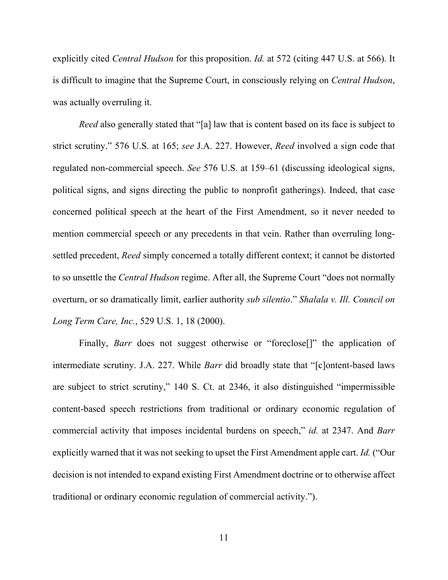explicitly cited *Central Hudson* for this proposition. *Id.* at 572 (citing 447 U.S. at 566). It is difficult to imagine that the Supreme Court, in consciously relying on *Central Hudson*, was actually overruling it.

*Reed* also generally stated that "[a] law that is content based on its face is subject to strict scrutiny." 576 U.S. at 165; *see* J.A. 227. However, *Reed* involved a sign code that regulated non-commercial speech. *See* 576 U.S. at 159–61 (discussing ideological signs, political signs, and signs directing the public to nonprofit gatherings). Indeed, that case concerned political speech at the heart of the First Amendment, so it never needed to mention commercial speech or any precedents in that vein. Rather than overruling longsettled precedent, *Reed* simply concerned a totally different context; it cannot be distorted to so unsettle the *Central Hudson* regime. After all, the Supreme Court "does not normally overturn, or so dramatically limit, earlier authority *sub silentio*." *Shalala v. Ill. Council on Long Term Care, Inc.*, 529 U.S. 1, 18 (2000).

Finally, *Barr* does not suggest otherwise or "foreclose<sup>[]"</sup> the application of intermediate scrutiny. J.A. 227. While *Barr* did broadly state that "[c]ontent-based laws are subject to strict scrutiny," 140 S. Ct. at 2346, it also distinguished "impermissible content-based speech restrictions from traditional or ordinary economic regulation of commercial activity that imposes incidental burdens on speech," *id.* at 2347. And *Barr* explicitly warned that it was not seeking to upset the First Amendment apple cart. *Id.* ("Our decision is not intended to expand existing First Amendment doctrine or to otherwise affect traditional or ordinary economic regulation of commercial activity.").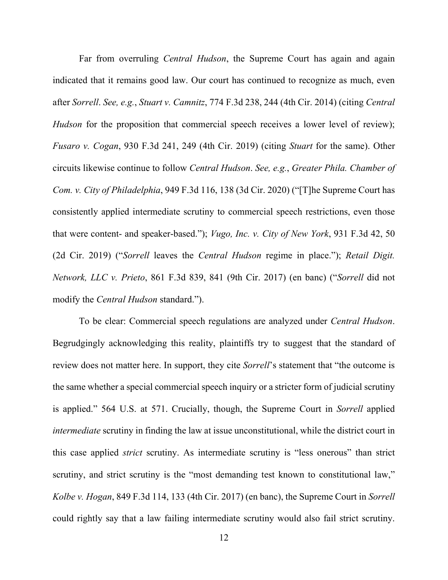Far from overruling *Central Hudson*, the Supreme Court has again and again indicated that it remains good law. Our court has continued to recognize as much, even after *Sorrell*. *See, e.g.*, *Stuart v. Camnitz*, 774 F.3d 238, 244 (4th Cir. 2014) (citing *Central Hudson* for the proposition that commercial speech receives a lower level of review); *Fusaro v. Cogan*, 930 F.3d 241, 249 (4th Cir. 2019) (citing *Stuart* for the same). Other circuits likewise continue to follow *Central Hudson*. *See, e.g.*, *Greater Phila. Chamber of Com. v. City of Philadelphia*, 949 F.3d 116, 138 (3d Cir. 2020) ("[T]he Supreme Court has consistently applied intermediate scrutiny to commercial speech restrictions, even those that were content- and speaker-based."); *Vugo, Inc. v. City of New York*, 931 F.3d 42, 50 (2d Cir. 2019) ("*Sorrell* leaves the *Central Hudson* regime in place."); *Retail Digit. Network, LLC v. Prieto*, 861 F.3d 839, 841 (9th Cir. 2017) (en banc) ("*Sorrell* did not modify the *Central Hudson* standard.").

To be clear: Commercial speech regulations are analyzed under *Central Hudson*. Begrudgingly acknowledging this reality, plaintiffs try to suggest that the standard of review does not matter here. In support, they cite *Sorrell*'s statement that "the outcome is the same whether a special commercial speech inquiry or a stricter form of judicial scrutiny is applied." 564 U.S. at 571. Crucially, though, the Supreme Court in *Sorrell* applied *intermediate* scrutiny in finding the law at issue unconstitutional, while the district court in this case applied *strict* scrutiny. As intermediate scrutiny is "less onerous" than strict scrutiny, and strict scrutiny is the "most demanding test known to constitutional law," *Kolbe v. Hogan*, 849 F.3d 114, 133 (4th Cir. 2017) (en banc), the Supreme Court in *Sorrell* could rightly say that a law failing intermediate scrutiny would also fail strict scrutiny.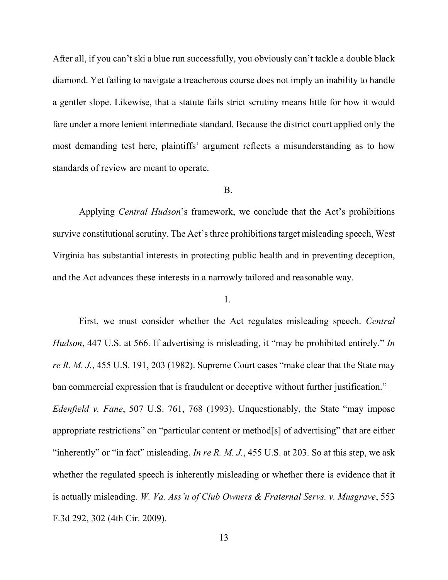After all, if you can't ski a blue run successfully, you obviously can't tackle a double black diamond. Yet failing to navigate a treacherous course does not imply an inability to handle a gentler slope. Likewise, that a statute fails strict scrutiny means little for how it would fare under a more lenient intermediate standard. Because the district court applied only the most demanding test here, plaintiffs' argument reflects a misunderstanding as to how standards of review are meant to operate.

### B.

Applying *Central Hudson*'s framework, we conclude that the Act's prohibitions survive constitutional scrutiny. The Act's three prohibitions target misleading speech, West Virginia has substantial interests in protecting public health and in preventing deception, and the Act advances these interests in a narrowly tailored and reasonable way.

1.

First, we must consider whether the Act regulates misleading speech. *Central Hudson*, 447 U.S. at 566. If advertising is misleading, it "may be prohibited entirely." *In re R. M. J.*, 455 U.S. 191, 203 (1982). Supreme Court cases "make clear that the State may ban commercial expression that is fraudulent or deceptive without further justification." *Edenfield v. Fane*, 507 U.S. 761, 768 (1993). Unquestionably, the State "may impose appropriate restrictions" on "particular content or method[s] of advertising" that are either "inherently" or "in fact" misleading. *In re R. M. J.*, 455 U.S. at 203. So at this step, we ask whether the regulated speech is inherently misleading or whether there is evidence that it is actually misleading. *W. Va. Ass'n of Club Owners & Fraternal Servs. v. Musgrave*, 553

F.3d 292, 302 (4th Cir. 2009).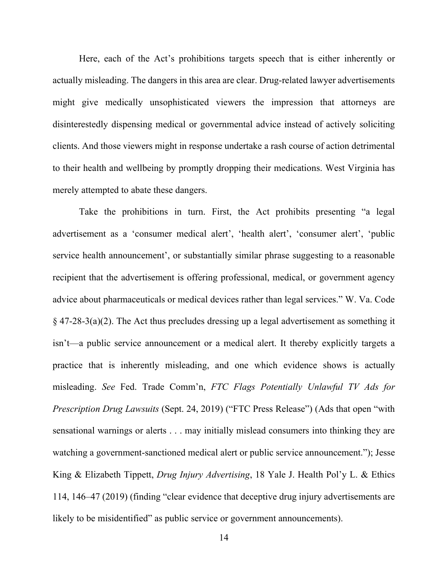Here, each of the Act's prohibitions targets speech that is either inherently or actually misleading. The dangers in this area are clear. Drug-related lawyer advertisements might give medically unsophisticated viewers the impression that attorneys are disinterestedly dispensing medical or governmental advice instead of actively soliciting clients. And those viewers might in response undertake a rash course of action detrimental to their health and wellbeing by promptly dropping their medications. West Virginia has merely attempted to abate these dangers.

Take the prohibitions in turn. First, the Act prohibits presenting "a legal advertisement as a 'consumer medical alert', 'health alert', 'consumer alert', 'public service health announcement', or substantially similar phrase suggesting to a reasonable recipient that the advertisement is offering professional, medical, or government agency advice about pharmaceuticals or medical devices rather than legal services." W. Va. Code  $\S$  47-28-3(a)(2). The Act thus precludes dressing up a legal advertisement as something it isn't—a public service announcement or a medical alert. It thereby explicitly targets a practice that is inherently misleading, and one which evidence shows is actually misleading. *See* Fed. Trade Comm'n, *FTC Flags Potentially Unlawful TV Ads for Prescription Drug Lawsuits* (Sept. 24, 2019) ("FTC Press Release") (Ads that open "with sensational warnings or alerts . . . may initially mislead consumers into thinking they are watching a government-sanctioned medical alert or public service announcement."); Jesse King & Elizabeth Tippett, *Drug Injury Advertising*, 18 Yale J. Health Pol'y L. & Ethics 114, 146–47 (2019) (finding "clear evidence that deceptive drug injury advertisements are likely to be misidentified" as public service or government announcements).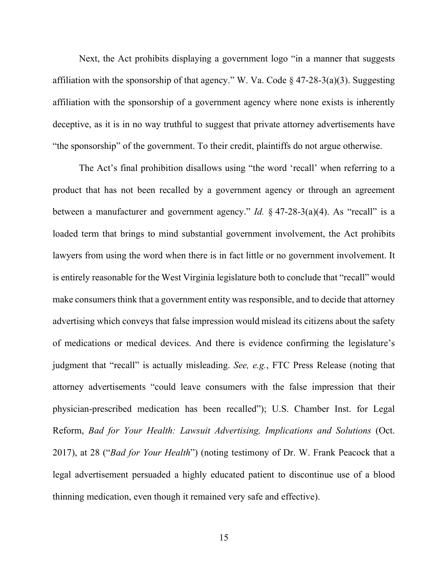Next, the Act prohibits displaying a government logo "in a manner that suggests affiliation with the sponsorship of that agency." W. Va. Code  $\S$  47-28-3(a)(3). Suggesting affiliation with the sponsorship of a government agency where none exists is inherently deceptive, as it is in no way truthful to suggest that private attorney advertisements have "the sponsorship" of the government. To their credit, plaintiffs do not argue otherwise.

The Act's final prohibition disallows using "the word 'recall' when referring to a product that has not been recalled by a government agency or through an agreement between a manufacturer and government agency." *Id.* § 47-28-3(a)(4). As "recall" is a loaded term that brings to mind substantial government involvement, the Act prohibits lawyers from using the word when there is in fact little or no government involvement. It is entirely reasonable for the West Virginia legislature both to conclude that "recall" would make consumers think that a government entity was responsible, and to decide that attorney advertising which conveys that false impression would mislead its citizens about the safety of medications or medical devices. And there is evidence confirming the legislature's judgment that "recall" is actually misleading. *See, e.g.*, FTC Press Release (noting that attorney advertisements "could leave consumers with the false impression that their physician-prescribed medication has been recalled"); U.S. Chamber Inst. for Legal Reform, *Bad for Your Health: Lawsuit Advertising, Implications and Solutions* (Oct. 2017), at 28 ("*Bad for Your Health*") (noting testimony of Dr. W. Frank Peacock that a legal advertisement persuaded a highly educated patient to discontinue use of a blood thinning medication, even though it remained very safe and effective).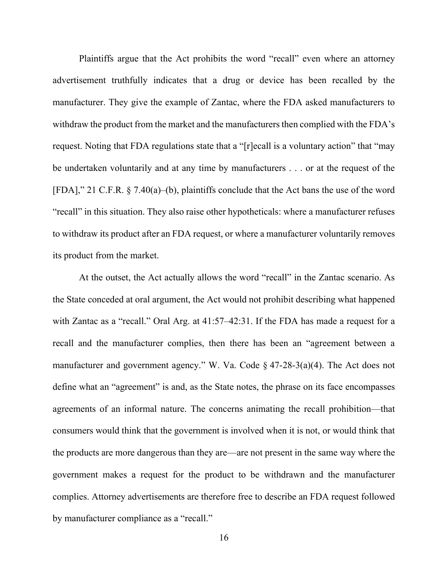Plaintiffs argue that the Act prohibits the word "recall" even where an attorney advertisement truthfully indicates that a drug or device has been recalled by the manufacturer. They give the example of Zantac, where the FDA asked manufacturers to withdraw the product from the market and the manufacturers then complied with the FDA's request. Noting that FDA regulations state that a "[r]ecall is a voluntary action" that "may be undertaken voluntarily and at any time by manufacturers . . . or at the request of the [FDA]," 21 C.F.R. § 7.40(a)–(b), plaintiffs conclude that the Act bans the use of the word "recall" in this situation. They also raise other hypotheticals: where a manufacturer refuses to withdraw its product after an FDA request, or where a manufacturer voluntarily removes its product from the market.

At the outset, the Act actually allows the word "recall" in the Zantac scenario. As the State conceded at oral argument, the Act would not prohibit describing what happened with Zantac as a "recall." Oral Arg. at 41:57–42:31. If the FDA has made a request for a recall and the manufacturer complies, then there has been an "agreement between a manufacturer and government agency." W. Va. Code § 47-28-3(a)(4). The Act does not define what an "agreement" is and, as the State notes, the phrase on its face encompasses agreements of an informal nature. The concerns animating the recall prohibition—that consumers would think that the government is involved when it is not, or would think that the products are more dangerous than they are—are not present in the same way where the government makes a request for the product to be withdrawn and the manufacturer complies. Attorney advertisements are therefore free to describe an FDA request followed by manufacturer compliance as a "recall."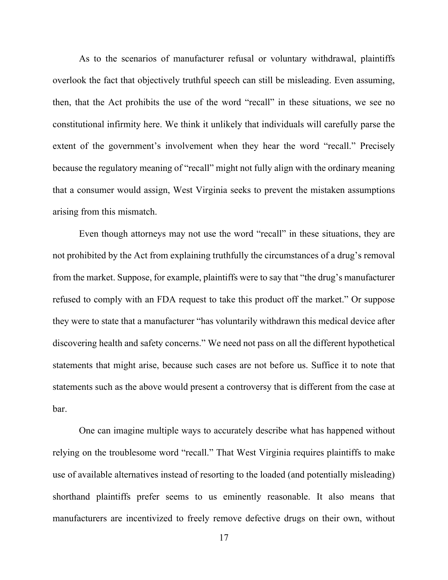As to the scenarios of manufacturer refusal or voluntary withdrawal, plaintiffs overlook the fact that objectively truthful speech can still be misleading. Even assuming, then, that the Act prohibits the use of the word "recall" in these situations, we see no constitutional infirmity here. We think it unlikely that individuals will carefully parse the extent of the government's involvement when they hear the word "recall." Precisely because the regulatory meaning of "recall" might not fully align with the ordinary meaning that a consumer would assign, West Virginia seeks to prevent the mistaken assumptions arising from this mismatch.

Even though attorneys may not use the word "recall" in these situations, they are not prohibited by the Act from explaining truthfully the circumstances of a drug's removal from the market. Suppose, for example, plaintiffs were to say that "the drug's manufacturer refused to comply with an FDA request to take this product off the market." Or suppose they were to state that a manufacturer "has voluntarily withdrawn this medical device after discovering health and safety concerns." We need not pass on all the different hypothetical statements that might arise, because such cases are not before us. Suffice it to note that statements such as the above would present a controversy that is different from the case at bar.

One can imagine multiple ways to accurately describe what has happened without relying on the troublesome word "recall." That West Virginia requires plaintiffs to make use of available alternatives instead of resorting to the loaded (and potentially misleading) shorthand plaintiffs prefer seems to us eminently reasonable. It also means that manufacturers are incentivized to freely remove defective drugs on their own, without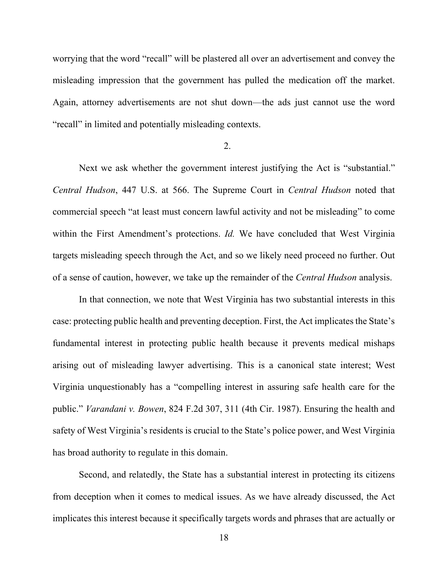worrying that the word "recall" will be plastered all over an advertisement and convey the misleading impression that the government has pulled the medication off the market. Again, attorney advertisements are not shut down—the ads just cannot use the word "recall" in limited and potentially misleading contexts.

### 2.

Next we ask whether the government interest justifying the Act is "substantial." *Central Hudson*, 447 U.S. at 566. The Supreme Court in *Central Hudson* noted that commercial speech "at least must concern lawful activity and not be misleading" to come within the First Amendment's protections. *Id.* We have concluded that West Virginia targets misleading speech through the Act, and so we likely need proceed no further. Out of a sense of caution, however, we take up the remainder of the *Central Hudson* analysis.

In that connection, we note that West Virginia has two substantial interests in this case: protecting public health and preventing deception. First, the Act implicates the State's fundamental interest in protecting public health because it prevents medical mishaps arising out of misleading lawyer advertising. This is a canonical state interest; West Virginia unquestionably has a "compelling interest in assuring safe health care for the public." *Varandani v. Bowen*, 824 F.2d 307, 311 (4th Cir. 1987). Ensuring the health and safety of West Virginia's residents is crucial to the State's police power, and West Virginia has broad authority to regulate in this domain.

Second, and relatedly, the State has a substantial interest in protecting its citizens from deception when it comes to medical issues. As we have already discussed, the Act implicates this interest because it specifically targets words and phrases that are actually or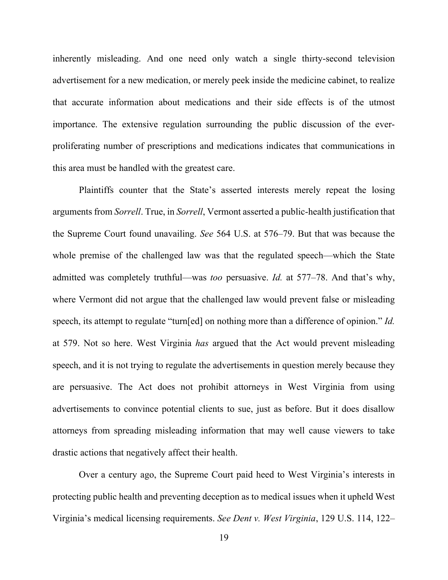inherently misleading. And one need only watch a single thirty-second television advertisement for a new medication, or merely peek inside the medicine cabinet, to realize that accurate information about medications and their side effects is of the utmost importance. The extensive regulation surrounding the public discussion of the everproliferating number of prescriptions and medications indicates that communications in this area must be handled with the greatest care.

Plaintiffs counter that the State's asserted interests merely repeat the losing arguments from *Sorrell*. True, in *Sorrell*, Vermont asserted a public-health justification that the Supreme Court found unavailing. *See* 564 U.S. at 576–79. But that was because the whole premise of the challenged law was that the regulated speech—which the State admitted was completely truthful—was *too* persuasive. *Id.* at 577–78. And that's why, where Vermont did not argue that the challenged law would prevent false or misleading speech, its attempt to regulate "turn[ed] on nothing more than a difference of opinion." *Id.* at 579. Not so here. West Virginia *has* argued that the Act would prevent misleading speech, and it is not trying to regulate the advertisements in question merely because they are persuasive. The Act does not prohibit attorneys in West Virginia from using advertisements to convince potential clients to sue, just as before. But it does disallow attorneys from spreading misleading information that may well cause viewers to take drastic actions that negatively affect their health.

Over a century ago, the Supreme Court paid heed to West Virginia's interests in protecting public health and preventing deception as to medical issues when it upheld West Virginia's medical licensing requirements. *See Dent v. West Virginia*, 129 U.S. 114, 122–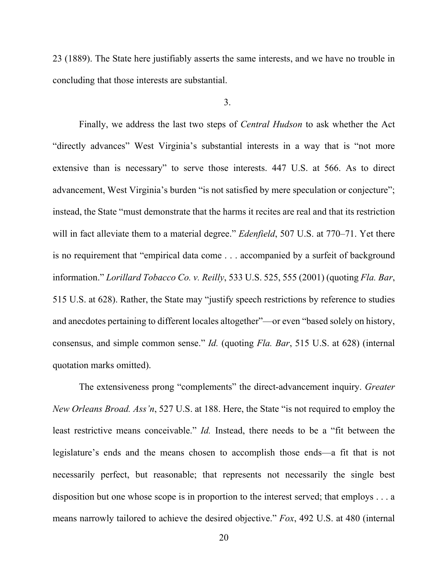23 (1889). The State here justifiably asserts the same interests, and we have no trouble in concluding that those interests are substantial.

3.

Finally, we address the last two steps of *Central Hudson* to ask whether the Act "directly advances" West Virginia's substantial interests in a way that is "not more extensive than is necessary" to serve those interests. 447 U.S. at 566. As to direct advancement, West Virginia's burden "is not satisfied by mere speculation or conjecture"; instead, the State "must demonstrate that the harms it recites are real and that its restriction will in fact alleviate them to a material degree." *Edenfield*, 507 U.S. at 770–71. Yet there is no requirement that "empirical data come . . . accompanied by a surfeit of background information." *Lorillard Tobacco Co. v. Reilly*, 533 U.S. 525, 555 (2001) (quoting *Fla. Bar*, 515 U.S. at 628). Rather, the State may "justify speech restrictions by reference to studies and anecdotes pertaining to different locales altogether"—or even "based solely on history, consensus, and simple common sense." *Id.* (quoting *Fla. Bar*, 515 U.S. at 628) (internal quotation marks omitted).

The extensiveness prong "complements" the direct-advancement inquiry. *Greater New Orleans Broad. Ass'n*, 527 U.S. at 188. Here, the State "is not required to employ the least restrictive means conceivable." *Id.* Instead, there needs to be a "fit between the legislature's ends and the means chosen to accomplish those ends—a fit that is not necessarily perfect, but reasonable; that represents not necessarily the single best disposition but one whose scope is in proportion to the interest served; that employs . . . a means narrowly tailored to achieve the desired objective." *Fox*, 492 U.S. at 480 (internal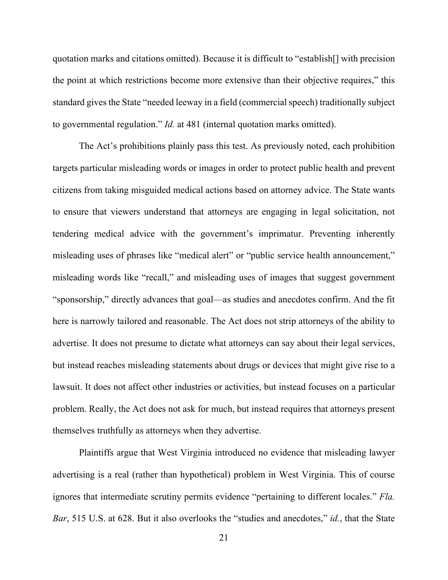quotation marks and citations omitted). Because it is difficult to "establish[] with precision the point at which restrictions become more extensive than their objective requires," this standard gives the State "needed leeway in a field (commercial speech) traditionally subject to governmental regulation." *Id.* at 481 (internal quotation marks omitted).

The Act's prohibitions plainly pass this test. As previously noted, each prohibition targets particular misleading words or images in order to protect public health and prevent citizens from taking misguided medical actions based on attorney advice. The State wants to ensure that viewers understand that attorneys are engaging in legal solicitation, not tendering medical advice with the government's imprimatur. Preventing inherently misleading uses of phrases like "medical alert" or "public service health announcement," misleading words like "recall," and misleading uses of images that suggest government "sponsorship," directly advances that goal—as studies and anecdotes confirm. And the fit here is narrowly tailored and reasonable. The Act does not strip attorneys of the ability to advertise. It does not presume to dictate what attorneys can say about their legal services, but instead reaches misleading statements about drugs or devices that might give rise to a lawsuit. It does not affect other industries or activities, but instead focuses on a particular problem. Really, the Act does not ask for much, but instead requires that attorneys present themselves truthfully as attorneys when they advertise.

Plaintiffs argue that West Virginia introduced no evidence that misleading lawyer advertising is a real (rather than hypothetical) problem in West Virginia. This of course ignores that intermediate scrutiny permits evidence "pertaining to different locales." *Fla. Bar*, 515 U.S. at 628. But it also overlooks the "studies and anecdotes," *id.*, that the State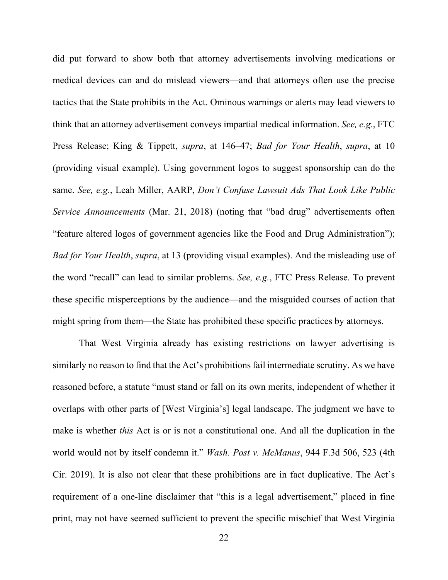did put forward to show both that attorney advertisements involving medications or medical devices can and do mislead viewers—and that attorneys often use the precise tactics that the State prohibits in the Act. Ominous warnings or alerts may lead viewers to think that an attorney advertisement conveys impartial medical information. *See, e.g.*, FTC Press Release; King & Tippett, *supra*, at 146–47; *Bad for Your Health*, *supra*, at 10 (providing visual example). Using government logos to suggest sponsorship can do the same. *See, e.g.*, Leah Miller, AARP, *Don't Confuse Lawsuit Ads That Look Like Public Service Announcements* (Mar. 21, 2018) (noting that "bad drug" advertisements often "feature altered logos of government agencies like the Food and Drug Administration"); *Bad for Your Health*, *supra*, at 13 (providing visual examples). And the misleading use of the word "recall" can lead to similar problems. *See, e.g.*, FTC Press Release. To prevent these specific misperceptions by the audience—and the misguided courses of action that might spring from them—the State has prohibited these specific practices by attorneys.

That West Virginia already has existing restrictions on lawyer advertising is similarly no reason to find that the Act's prohibitions fail intermediate scrutiny. As we have reasoned before, a statute "must stand or fall on its own merits, independent of whether it overlaps with other parts of [West Virginia's] legal landscape. The judgment we have to make is whether *this* Act is or is not a constitutional one. And all the duplication in the world would not by itself condemn it." *Wash. Post v. McManus*, 944 F.3d 506, 523 (4th Cir. 2019). It is also not clear that these prohibitions are in fact duplicative. The Act's requirement of a one-line disclaimer that "this is a legal advertisement," placed in fine print, may not have seemed sufficient to prevent the specific mischief that West Virginia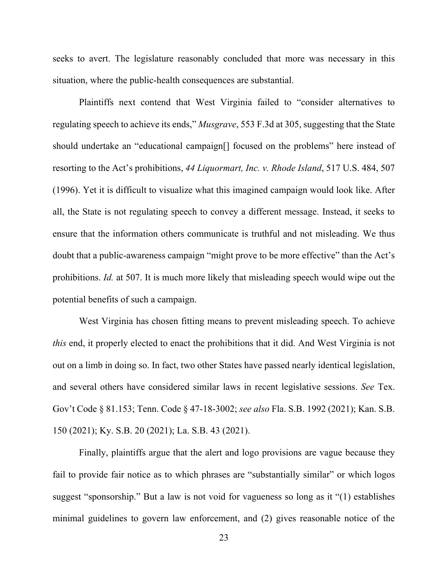seeks to avert. The legislature reasonably concluded that more was necessary in this situation, where the public-health consequences are substantial.

Plaintiffs next contend that West Virginia failed to "consider alternatives to regulating speech to achieve its ends," *Musgrave*, 553 F.3d at 305, suggesting that the State should undertake an "educational campaign[] focused on the problems" here instead of resorting to the Act's prohibitions, *44 Liquormart, Inc. v. Rhode Island*, 517 U.S. 484, 507 (1996). Yet it is difficult to visualize what this imagined campaign would look like. After all, the State is not regulating speech to convey a different message. Instead, it seeks to ensure that the information others communicate is truthful and not misleading. We thus doubt that a public-awareness campaign "might prove to be more effective" than the Act's prohibitions. *Id.* at 507. It is much more likely that misleading speech would wipe out the potential benefits of such a campaign.

West Virginia has chosen fitting means to prevent misleading speech. To achieve *this* end, it properly elected to enact the prohibitions that it did. And West Virginia is not out on a limb in doing so. In fact, two other States have passed nearly identical legislation, and several others have considered similar laws in recent legislative sessions. *See* Tex. Gov't Code § 81.153; Tenn. Code § 47-18-3002; *see also* Fla. S.B. 1992 (2021); Kan. S.B. 150 (2021); Ky. S.B. 20 (2021); La. S.B. 43 (2021).

Finally, plaintiffs argue that the alert and logo provisions are vague because they fail to provide fair notice as to which phrases are "substantially similar" or which logos suggest "sponsorship." But a law is not void for vagueness so long as it "(1) establishes minimal guidelines to govern law enforcement, and (2) gives reasonable notice of the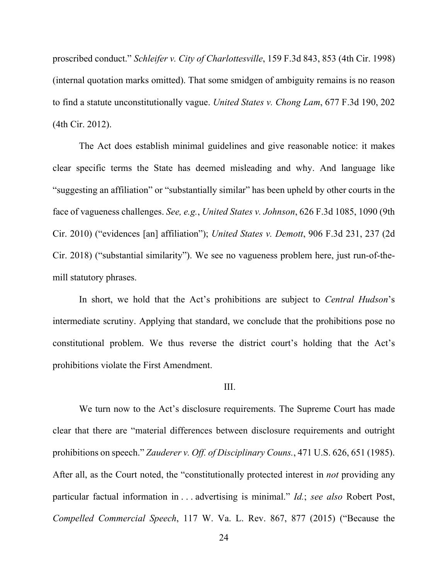proscribed conduct." *Schleifer v. City of Charlottesville*, 159 F.3d 843, 853 (4th Cir. 1998) (internal quotation marks omitted). That some smidgen of ambiguity remains is no reason to find a statute unconstitutionally vague. *United States v. Chong Lam*, 677 F.3d 190, 202 (4th Cir. 2012).

The Act does establish minimal guidelines and give reasonable notice: it makes clear specific terms the State has deemed misleading and why. And language like "suggesting an affiliation" or "substantially similar" has been upheld by other courts in the face of vagueness challenges. *See, e.g.*, *United States v. Johnson*, 626 F.3d 1085, 1090 (9th Cir. 2010) ("evidences [an] affiliation"); *United States v. Demott*, 906 F.3d 231, 237 (2d Cir. 2018) ("substantial similarity"). We see no vagueness problem here, just run-of-themill statutory phrases.

In short, we hold that the Act's prohibitions are subject to *Central Hudson*'s intermediate scrutiny. Applying that standard, we conclude that the prohibitions pose no constitutional problem. We thus reverse the district court's holding that the Act's prohibitions violate the First Amendment.

### III.

We turn now to the Act's disclosure requirements. The Supreme Court has made clear that there are "material differences between disclosure requirements and outright prohibitions on speech." *Zauderer v. Off. of Disciplinary Couns.*, 471 U.S. 626, 651 (1985). After all, as the Court noted, the "constitutionally protected interest in *not* providing any particular factual information in . . . advertising is minimal." *Id.*; *see also* Robert Post, *Compelled Commercial Speech*, 117 W. Va. L. Rev. 867, 877 (2015) ("Because the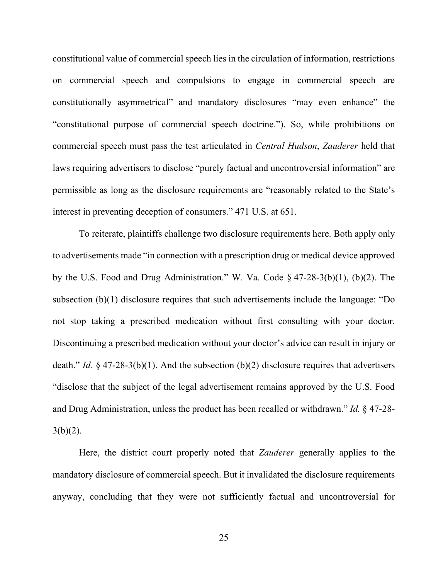constitutional value of commercial speech lies in the circulation of information, restrictions on commercial speech and compulsions to engage in commercial speech are constitutionally asymmetrical" and mandatory disclosures "may even enhance" the "constitutional purpose of commercial speech doctrine."). So, while prohibitions on commercial speech must pass the test articulated in *Central Hudson*, *Zauderer* held that laws requiring advertisers to disclose "purely factual and uncontroversial information" are permissible as long as the disclosure requirements are "reasonably related to the State's interest in preventing deception of consumers." 471 U.S. at 651.

To reiterate, plaintiffs challenge two disclosure requirements here. Both apply only to advertisements made "in connection with a prescription drug or medical device approved by the U.S. Food and Drug Administration." W. Va. Code § 47-28-3(b)(1), (b)(2). The subsection (b)(1) disclosure requires that such advertisements include the language: "Do not stop taking a prescribed medication without first consulting with your doctor. Discontinuing a prescribed medication without your doctor's advice can result in injury or death." *Id.* § 47-28-3(b)(1). And the subsection (b)(2) disclosure requires that advertisers "disclose that the subject of the legal advertisement remains approved by the U.S. Food and Drug Administration, unless the product has been recalled or withdrawn." *Id.* § 47-28-  $3(b)(2)$ .

Here, the district court properly noted that *Zauderer* generally applies to the mandatory disclosure of commercial speech. But it invalidated the disclosure requirements anyway, concluding that they were not sufficiently factual and uncontroversial for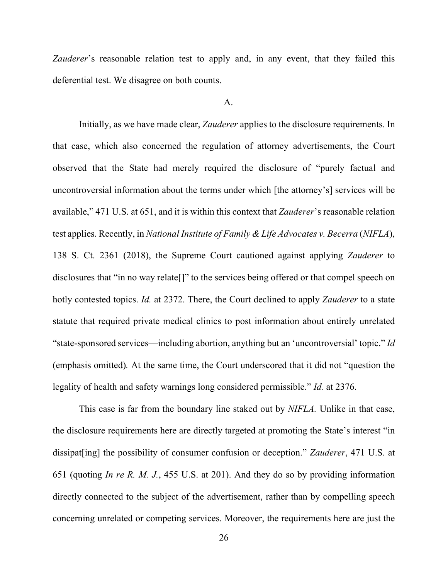*Zauderer*'s reasonable relation test to apply and, in any event, that they failed this deferential test. We disagree on both counts.

#### A.

Initially, as we have made clear, *Zauderer* applies to the disclosure requirements. In that case, which also concerned the regulation of attorney advertisements, the Court observed that the State had merely required the disclosure of "purely factual and uncontroversial information about the terms under which [the attorney's] services will be available," 471 U.S. at 651, and it is within this context that *Zauderer*'s reasonable relation test applies. Recently, in *National Institute of Family & Life Advocates v. Becerra* (*NIFLA*), 138 S. Ct. 2361 (2018), the Supreme Court cautioned against applying *Zauderer* to disclosures that "in no way relate[]" to the services being offered or that compel speech on hotly contested topics. *Id.* at 2372. There, the Court declined to apply *Zauderer* to a state statute that required private medical clinics to post information about entirely unrelated "state-sponsored services—including abortion, anything but an 'uncontroversial' topic." *Id* (emphasis omitted)*.* At the same time, the Court underscored that it did not "question the legality of health and safety warnings long considered permissible." *Id.* at 2376.

This case is far from the boundary line staked out by *NIFLA.* Unlike in that case, the disclosure requirements here are directly targeted at promoting the State's interest "in dissipat[ing] the possibility of consumer confusion or deception." *Zauderer*, 471 U.S. at 651 (quoting *In re R. M. J.*, 455 U.S. at 201). And they do so by providing information directly connected to the subject of the advertisement, rather than by compelling speech concerning unrelated or competing services. Moreover, the requirements here are just the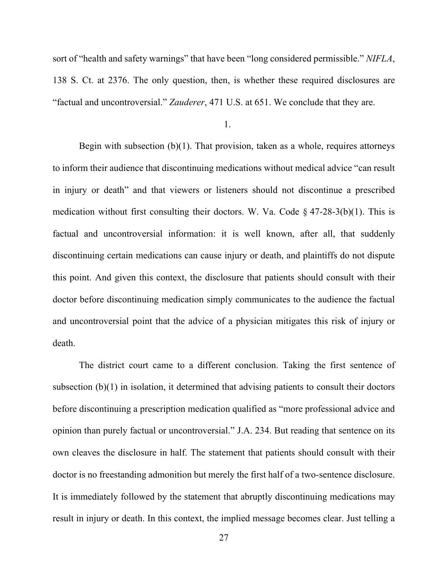sort of "health and safety warnings" that have been "long considered permissible." *NIFLA*, 138 S. Ct. at 2376. The only question, then, is whether these required disclosures are "factual and uncontroversial." *Zauderer*, 471 U.S. at 651. We conclude that they are.

Begin with subsection  $(b)(1)$ . That provision, taken as a whole, requires attorneys to inform their audience that discontinuing medications without medical advice "can result in injury or death" and that viewers or listeners should not discontinue a prescribed medication without first consulting their doctors. W. Va. Code  $\S$  47-28-3(b)(1). This is factual and uncontroversial information: it is well known, after all, that suddenly discontinuing certain medications can cause injury or death, and plaintiffs do not dispute this point. And given this context, the disclosure that patients should consult with their doctor before discontinuing medication simply communicates to the audience the factual and uncontroversial point that the advice of a physician mitigates this risk of injury or death.

The district court came to a different conclusion. Taking the first sentence of subsection (b)(1) in isolation, it determined that advising patients to consult their doctors before discontinuing a prescription medication qualified as "more professional advice and opinion than purely factual or uncontroversial." J.A. 234. But reading that sentence on its own cleaves the disclosure in half. The statement that patients should consult with their doctor is no freestanding admonition but merely the first half of a two-sentence disclosure. It is immediately followed by the statement that abruptly discontinuing medications may result in injury or death. In this context, the implied message becomes clear. Just telling a

<sup>1.</sup>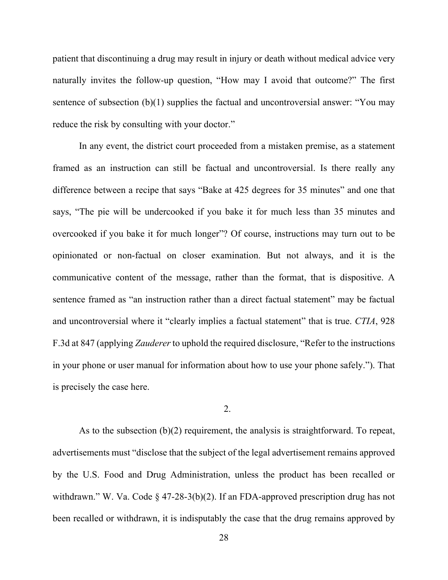patient that discontinuing a drug may result in injury or death without medical advice very naturally invites the follow-up question, "How may I avoid that outcome?" The first sentence of subsection (b)(1) supplies the factual and uncontroversial answer: "You may reduce the risk by consulting with your doctor."

In any event, the district court proceeded from a mistaken premise, as a statement framed as an instruction can still be factual and uncontroversial. Is there really any difference between a recipe that says "Bake at 425 degrees for 35 minutes" and one that says, "The pie will be undercooked if you bake it for much less than 35 minutes and overcooked if you bake it for much longer"? Of course, instructions may turn out to be opinionated or non-factual on closer examination. But not always, and it is the communicative content of the message, rather than the format, that is dispositive. A sentence framed as "an instruction rather than a direct factual statement" may be factual and uncontroversial where it "clearly implies a factual statement" that is true. *CTIA*, 928 F.3d at 847 (applying *Zauderer* to uphold the required disclosure, "Refer to the instructions in your phone or user manual for information about how to use your phone safely."). That is precisely the case here.

### 2.

As to the subsection (b)(2) requirement, the analysis is straightforward. To repeat, advertisements must "disclose that the subject of the legal advertisement remains approved by the U.S. Food and Drug Administration, unless the product has been recalled or withdrawn." W. Va. Code § 47-28-3(b)(2). If an FDA-approved prescription drug has not been recalled or withdrawn, it is indisputably the case that the drug remains approved by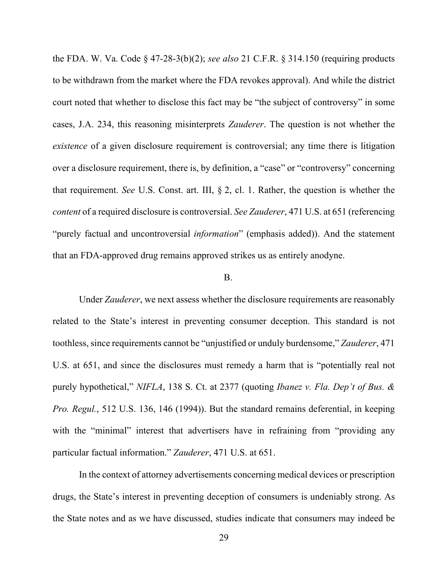the FDA. W. Va. Code § 47-28-3(b)(2); *see also* 21 C.F.R. § 314.150 (requiring products to be withdrawn from the market where the FDA revokes approval). And while the district court noted that whether to disclose this fact may be "the subject of controversy" in some cases, J.A. 234, this reasoning misinterprets *Zauderer*. The question is not whether the *existence* of a given disclosure requirement is controversial; any time there is litigation over a disclosure requirement, there is, by definition, a "case" or "controversy" concerning that requirement. *See* U.S. Const. art. III, § 2, cl. 1. Rather, the question is whether the *content* of a required disclosure is controversial. *See Zauderer*, 471 U.S. at 651 (referencing "purely factual and uncontroversial *information*" (emphasis added)). And the statement that an FDA-approved drug remains approved strikes us as entirely anodyne.

### B.

Under *Zauderer*, we next assess whether the disclosure requirements are reasonably related to the State's interest in preventing consumer deception. This standard is not toothless, since requirements cannot be "unjustified or unduly burdensome," *Zauderer*, 471 U.S. at 651, and since the disclosures must remedy a harm that is "potentially real not purely hypothetical," *NIFLA*, 138 S. Ct. at 2377 (quoting *Ibanez v. Fla. Dep't of Bus. & Pro. Regul.*, 512 U.S. 136, 146 (1994)). But the standard remains deferential, in keeping with the "minimal" interest that advertisers have in refraining from "providing any particular factual information." *Zauderer*, 471 U.S. at 651.

In the context of attorney advertisements concerning medical devices or prescription drugs, the State's interest in preventing deception of consumers is undeniably strong. As the State notes and as we have discussed, studies indicate that consumers may indeed be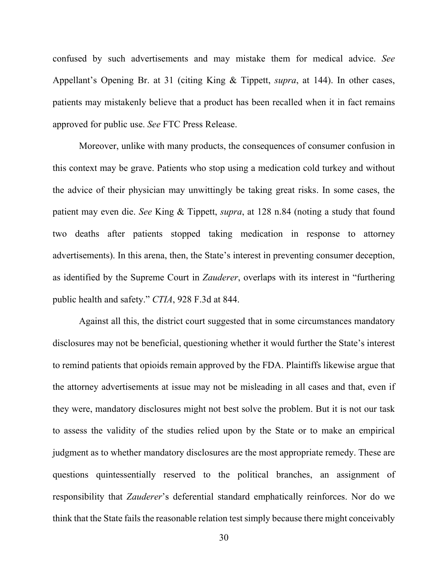confused by such advertisements and may mistake them for medical advice. *See*  Appellant's Opening Br. at 31 (citing King & Tippett, *supra*, at 144). In other cases, patients may mistakenly believe that a product has been recalled when it in fact remains approved for public use. *See* FTC Press Release.

Moreover, unlike with many products, the consequences of consumer confusion in this context may be grave. Patients who stop using a medication cold turkey and without the advice of their physician may unwittingly be taking great risks. In some cases, the patient may even die. *See* King & Tippett, *supra*, at 128 n.84 (noting a study that found two deaths after patients stopped taking medication in response to attorney advertisements). In this arena, then, the State's interest in preventing consumer deception, as identified by the Supreme Court in *Zauderer*, overlaps with its interest in "furthering public health and safety." *CTIA*, 928 F.3d at 844.

Against all this, the district court suggested that in some circumstances mandatory disclosures may not be beneficial, questioning whether it would further the State's interest to remind patients that opioids remain approved by the FDA. Plaintiffs likewise argue that the attorney advertisements at issue may not be misleading in all cases and that, even if they were, mandatory disclosures might not best solve the problem. But it is not our task to assess the validity of the studies relied upon by the State or to make an empirical judgment as to whether mandatory disclosures are the most appropriate remedy. These are questions quintessentially reserved to the political branches, an assignment of responsibility that *Zauderer*'s deferential standard emphatically reinforces. Nor do we think that the State fails the reasonable relation test simply because there might conceivably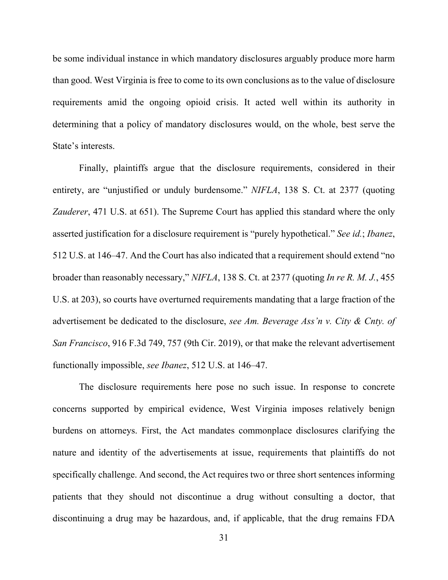be some individual instance in which mandatory disclosures arguably produce more harm than good. West Virginia is free to come to its own conclusions as to the value of disclosure requirements amid the ongoing opioid crisis. It acted well within its authority in determining that a policy of mandatory disclosures would, on the whole, best serve the State's interests.

Finally, plaintiffs argue that the disclosure requirements, considered in their entirety, are "unjustified or unduly burdensome." *NIFLA*, 138 S. Ct. at 2377 (quoting *Zauderer*, 471 U.S. at 651). The Supreme Court has applied this standard where the only asserted justification for a disclosure requirement is "purely hypothetical." *See id.*; *Ibanez*, 512 U.S. at 146–47. And the Court has also indicated that a requirement should extend "no broader than reasonably necessary," *NIFLA*, 138 S. Ct. at 2377 (quoting *In re R. M. J.*, 455 U.S. at 203), so courts have overturned requirements mandating that a large fraction of the advertisement be dedicated to the disclosure, *see Am. Beverage Ass'n v. City & Cnty. of San Francisco*, 916 F.3d 749, 757 (9th Cir. 2019), or that make the relevant advertisement functionally impossible, *see Ibanez*, 512 U.S. at 146–47.

The disclosure requirements here pose no such issue. In response to concrete concerns supported by empirical evidence, West Virginia imposes relatively benign burdens on attorneys. First, the Act mandates commonplace disclosures clarifying the nature and identity of the advertisements at issue, requirements that plaintiffs do not specifically challenge. And second, the Act requires two or three short sentences informing patients that they should not discontinue a drug without consulting a doctor, that discontinuing a drug may be hazardous, and, if applicable, that the drug remains FDA